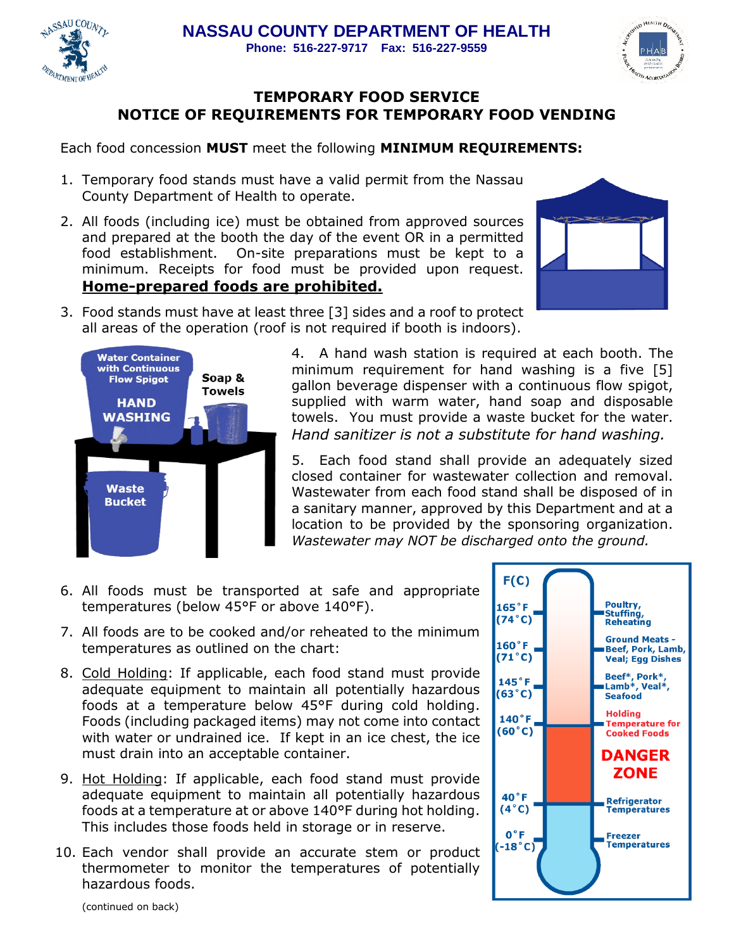



## **TEMPORARY FOOD SERVICE NOTICE OF REQUIREMENTS FOR TEMPORARY FOOD VENDING**

Each food concession **MUST** meet the following **MINIMUM REQUIREMENTS:** 

- 1. Temporary food stands must have a valid permit from the Nassau County Department of Health to operate.
- 2. All foods (including ice) must be obtained from approved sources and prepared at the booth the day of the event OR in a permitted food establishment. On-site preparations must be kept to a minimum. Receipts for food must be provided upon request. **Home-prepared foods are prohibited.**



3. Food stands must have at least three [3] sides and a roof to protect all areas of the operation (roof is not required if booth is indoors).



4. A hand wash station is required at each booth. The minimum requirement for hand washing is a five [5] gallon beverage dispenser with a continuous flow spigot, supplied with warm water, hand soap and disposable towels. You must provide a waste bucket for the water. *Hand sanitizer is not a substitute for hand washing.*

5. Each food stand shall provide an adequately sized closed container for wastewater collection and removal. Wastewater from each food stand shall be disposed of in a sanitary manner, approved by this Department and at a location to be provided by the sponsoring organization. *Wastewater may NOT be discharged onto the ground.*

- 6. All foods must be transported at safe and appropriate temperatures (below 45°F or above 140°F).
- 7. All foods are to be cooked and/or reheated to the minimum temperatures as outlined on the chart:
- 8. Cold Holding: If applicable, each food stand must provide adequate equipment to maintain all potentially hazardous foods at a temperature below 45°F during cold holding. Foods (including packaged items) may not come into contact with water or undrained ice. If kept in an ice chest, the ice must drain into an acceptable container.
- 9. Hot Holding: If applicable, each food stand must provide adequate equipment to maintain all potentially hazardous foods at a temperature at or above 140°F during hot holding. This includes those foods held in storage or in reserve.
- 10. Each vendor shall provide an accurate stem or product thermometer to monitor the temperatures of potentially hazardous foods.